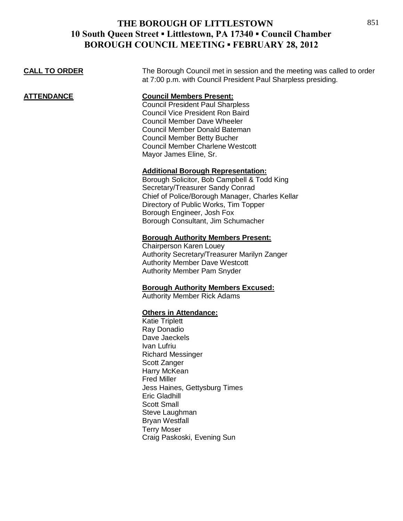**CALL TO ORDER** The Borough Council met in session and the meeting was called to order at 7:00 p.m. with Council President Paul Sharpless presiding.

**ATTENDANCE Council Members Present:** Council President Paul Sharpless

Council Vice President Ron Baird Council Member Dave Wheeler Council Member Donald Bateman Council Member Betty Bucher Council Member Charlene Westcott Mayor James Eline, Sr.

#### **Additional Borough Representation:**

Borough Solicitor, Bob Campbell & Todd King Secretary/Treasurer Sandy Conrad Chief of Police/Borough Manager, Charles Kellar Directory of Public Works, Tim Topper Borough Engineer, Josh Fox Borough Consultant, Jim Schumacher

#### **Borough Authority Members Present:**

Chairperson Karen Louey Authority Secretary/Treasurer Marilyn Zanger Authority Member Dave Westcott Authority Member Pam Snyder

## **Borough Authority Members Excused:**

Authority Member Rick Adams

## **Others in Attendance:**

Katie Triplett Ray Donadio Dave Jaeckels Ivan Lufriu Richard Messinger Scott Zanger Harry McKean Fred Miller Jess Haines, Gettysburg Times Eric Gladhill Scott Small Steve Laughman Bryan Westfall Terry Moser Craig Paskoski, Evening Sun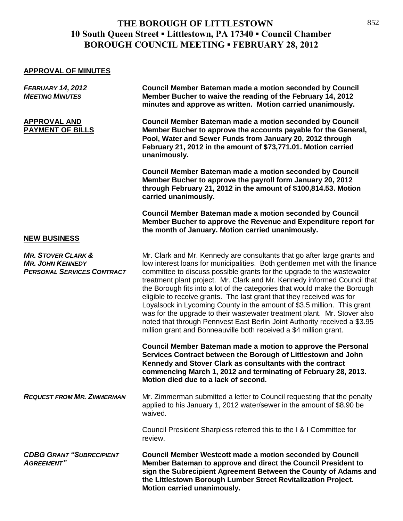## **APPROVAL OF MINUTES**

| <b>FEBRUARY 14, 2012</b><br><b>MEETING MINUTES</b>                                            | <b>Council Member Bateman made a motion seconded by Council</b><br>Member Bucher to waive the reading of the February 14, 2012<br>minutes and approve as written. Motion carried unanimously.                                                                                                                                                                                                                                                                                                                                                                                                                                                                                                                                                                               |
|-----------------------------------------------------------------------------------------------|-----------------------------------------------------------------------------------------------------------------------------------------------------------------------------------------------------------------------------------------------------------------------------------------------------------------------------------------------------------------------------------------------------------------------------------------------------------------------------------------------------------------------------------------------------------------------------------------------------------------------------------------------------------------------------------------------------------------------------------------------------------------------------|
| <b>APPROVAL AND</b><br><b>PAYMENT OF BILLS</b>                                                | <b>Council Member Bateman made a motion seconded by Council</b><br>Member Bucher to approve the accounts payable for the General,<br>Pool, Water and Sewer Funds from January 20, 2012 through<br>February 21, 2012 in the amount of \$73,771.01. Motion carried<br>unanimously.                                                                                                                                                                                                                                                                                                                                                                                                                                                                                            |
|                                                                                               | <b>Council Member Bateman made a motion seconded by Council</b><br>Member Bucher to approve the payroll form January 20, 2012<br>through February 21, 2012 in the amount of \$100,814.53. Motion<br>carried unanimously.                                                                                                                                                                                                                                                                                                                                                                                                                                                                                                                                                    |
| <b>NEW BUSINESS</b>                                                                           | <b>Council Member Bateman made a motion seconded by Council</b><br>Member Bucher to approve the Revenue and Expenditure report for<br>the month of January. Motion carried unanimously.                                                                                                                                                                                                                                                                                                                                                                                                                                                                                                                                                                                     |
| <b>MR. STOVER CLARK &amp;</b><br><b>MR. JOHN KENNEDY</b><br><b>PERSONAL SERVICES CONTRACT</b> | Mr. Clark and Mr. Kennedy are consultants that go after large grants and<br>low interest loans for municipalities. Both gentlemen met with the finance<br>committee to discuss possible grants for the upgrade to the wastewater<br>treatment plant project. Mr. Clark and Mr. Kennedy informed Council that<br>the Borough fits into a lot of the categories that would make the Borough<br>eligible to receive grants. The last grant that they received was for<br>Loyalsock in Lycoming County in the amount of \$3.5 million. This grant<br>was for the upgrade to their wastewater treatment plant. Mr. Stover also<br>noted that through Pennvest East Berlin Joint Authority received a \$3.95<br>million grant and Bonneauville both received a \$4 million grant. |
|                                                                                               | Council Member Bateman made a motion to approve the Personal<br>Services Contract between the Borough of Littlestown and John<br>Kennedy and Stover Clark as consultants with the contract<br>commencing March 1, 2012 and terminating of February 28, 2013.<br>Motion died due to a lack of second.                                                                                                                                                                                                                                                                                                                                                                                                                                                                        |
| <b>REQUEST FROM MR. ZIMMERMAN</b>                                                             | Mr. Zimmerman submitted a letter to Council requesting that the penalty<br>applied to his January 1, 2012 water/sewer in the amount of \$8.90 be<br>waived.                                                                                                                                                                                                                                                                                                                                                                                                                                                                                                                                                                                                                 |
|                                                                                               | Council President Sharpless referred this to the I & I Committee for<br>review.                                                                                                                                                                                                                                                                                                                                                                                                                                                                                                                                                                                                                                                                                             |
| <b>CDBG GRANT "SUBRECIPIENT</b><br><b>AGREEMENT"</b>                                          | <b>Council Member Westcott made a motion seconded by Council</b><br>Member Bateman to approve and direct the Council President to<br>sign the Subrecipient Agreement Between the County of Adams and<br>the Littlestown Borough Lumber Street Revitalization Project.<br>Motion carried unanimously.                                                                                                                                                                                                                                                                                                                                                                                                                                                                        |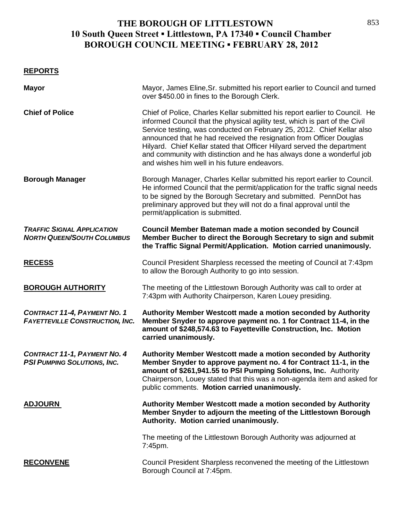| <b>REPORTS</b> |
|----------------|
|----------------|

| <b>Mayor</b>                                                                  | Mayor, James Eline, Sr. submitted his report earlier to Council and turned<br>over \$450.00 in fines to the Borough Clerk.                                                                                                                                                                                                                                                                                                                                                                                      |
|-------------------------------------------------------------------------------|-----------------------------------------------------------------------------------------------------------------------------------------------------------------------------------------------------------------------------------------------------------------------------------------------------------------------------------------------------------------------------------------------------------------------------------------------------------------------------------------------------------------|
| <b>Chief of Police</b>                                                        | Chief of Police, Charles Kellar submitted his report earlier to Council. He<br>informed Council that the physical agility test, which is part of the Civil<br>Service testing, was conducted on February 25, 2012. Chief Kellar also<br>announced that he had received the resignation from Officer Douglas<br>Hilyard. Chief Kellar stated that Officer Hilyard served the department<br>and community with distinction and he has always done a wonderful job<br>and wishes him well in his future endeavors. |
| <b>Borough Manager</b>                                                        | Borough Manager, Charles Kellar submitted his report earlier to Council.<br>He informed Council that the permit/application for the traffic signal needs<br>to be signed by the Borough Secretary and submitted. PennDot has<br>preliminary approved but they will not do a final approval until the<br>permit/application is submitted.                                                                                                                                                                        |
| <b>TRAFFIC SIGNAL APPLICATION</b><br><b>NORTH QUEEN/SOUTH COLUMBUS</b>        | <b>Council Member Bateman made a motion seconded by Council</b><br>Member Bucher to direct the Borough Secretary to sign and submit<br>the Traffic Signal Permit/Application. Motion carried unanimously.                                                                                                                                                                                                                                                                                                       |
| <b>RECESS</b>                                                                 | Council President Sharpless recessed the meeting of Council at 7:43pm<br>to allow the Borough Authority to go into session.                                                                                                                                                                                                                                                                                                                                                                                     |
| <b>BOROUGH AUTHORITY</b>                                                      | The meeting of the Littlestown Borough Authority was call to order at<br>7:43pm with Authority Chairperson, Karen Louey presiding.                                                                                                                                                                                                                                                                                                                                                                              |
| <b>CONTRACT 11-4, PAYMENT NO. 1</b><br><b>FAYETTEVILLE CONSTRUCTION, INC.</b> | Authority Member Westcott made a motion seconded by Authority<br>Member Snyder to approve payment no. 1 for Contract 11-4, in the<br>amount of \$248,574.63 to Fayetteville Construction, Inc. Motion<br>carried unanimously.                                                                                                                                                                                                                                                                                   |
| <b>CONTRACT 11-1, PAYMENT NO. 4</b><br><b>PSI PUMPING SOLUTIONS, INC.</b>     | Authority Member Westcott made a motion seconded by Authority<br>Member Snyder to approve payment no. 4 for Contract 11-1, in the<br>amount of \$261,941.55 to PSI Pumping Solutions, Inc. Authority<br>Chairperson, Louey stated that this was a non-agenda item and asked for<br>public comments. Motion carried unanimously.                                                                                                                                                                                 |
| <b>ADJOURN</b>                                                                | Authority Member Westcott made a motion seconded by Authority<br>Member Snyder to adjourn the meeting of the Littlestown Borough<br>Authority. Motion carried unanimously.                                                                                                                                                                                                                                                                                                                                      |
|                                                                               | The meeting of the Littlestown Borough Authority was adjourned at<br>7:45pm.                                                                                                                                                                                                                                                                                                                                                                                                                                    |
| <b>RECONVENE</b>                                                              | Council President Sharpless reconvened the meeting of the Littlestown<br>Borough Council at 7:45pm.                                                                                                                                                                                                                                                                                                                                                                                                             |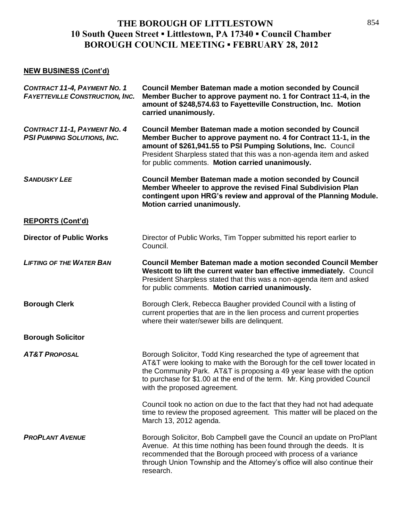## **NEW BUSINESS (Cont'd)**

| <b>CONTRACT 11-4, PAYMENT NO. 1</b><br><b>FAYETTEVILLE CONSTRUCTION, INC.</b> | <b>Council Member Bateman made a motion seconded by Council</b><br>Member Bucher to approve payment no. 1 for Contract 11-4, in the<br>amount of \$248,574.63 to Fayetteville Construction, Inc. Motion<br>carried unanimously.                                                                                                     |
|-------------------------------------------------------------------------------|-------------------------------------------------------------------------------------------------------------------------------------------------------------------------------------------------------------------------------------------------------------------------------------------------------------------------------------|
| <b>CONTRACT 11-1, PAYMENT NO. 4</b><br><b>PSI PUMPING SOLUTIONS, INC.</b>     | <b>Council Member Bateman made a motion seconded by Council</b><br>Member Bucher to approve payment no. 4 for Contract 11-1, in the<br>amount of \$261,941.55 to PSI Pumping Solutions, Inc. Council<br>President Sharpless stated that this was a non-agenda item and asked<br>for public comments. Motion carried unanimously.    |
| <b>SANDUSKY LEE</b>                                                           | <b>Council Member Bateman made a motion seconded by Council</b><br>Member Wheeler to approve the revised Final Subdivision Plan<br>contingent upon HRG's review and approval of the Planning Module.<br>Motion carried unanimously.                                                                                                 |
| <b>REPORTS (Cont'd)</b>                                                       |                                                                                                                                                                                                                                                                                                                                     |
| <b>Director of Public Works</b>                                               | Director of Public Works, Tim Topper submitted his report earlier to<br>Council.                                                                                                                                                                                                                                                    |
| <b>LIFTING OF THE WATER BAN</b>                                               | Council Member Bateman made a motion seconded Council Member<br>Westcott to lift the current water ban effective immediately. Council<br>President Sharpless stated that this was a non-agenda item and asked<br>for public comments. Motion carried unanimously.                                                                   |
| <b>Borough Clerk</b>                                                          | Borough Clerk, Rebecca Baugher provided Council with a listing of<br>current properties that are in the lien process and current properties<br>where their water/sewer bills are delinquent.                                                                                                                                        |
| <b>Borough Solicitor</b>                                                      |                                                                                                                                                                                                                                                                                                                                     |
| <b>AT&amp;T PROPOSAL</b>                                                      | Borough Solicitor, Todd King researched the type of agreement that<br>AT&T were looking to make with the Borough for the cell tower located in<br>the Community Park. AT&T is proposing a 49 year lease with the option<br>to purchase for \$1.00 at the end of the term. Mr. King provided Council<br>with the proposed agreement. |
|                                                                               | Council took no action on due to the fact that they had not had adequate<br>time to review the proposed agreement. This matter will be placed on the<br>March 13, 2012 agenda.                                                                                                                                                      |
| <b>PROPLANT AVENUE</b>                                                        | Borough Solicitor, Bob Campbell gave the Council an update on ProPlant<br>Avenue. At this time nothing has been found through the deeds. It is<br>recommended that the Borough proceed with process of a variance<br>through Union Township and the Attorney's office will also continue their<br>research.                         |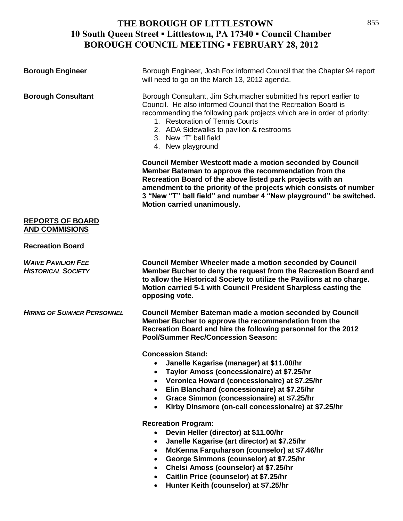| <b>Borough Engineer</b>                                | Borough Engineer, Josh Fox informed Council that the Chapter 94 report<br>will need to go on the March 13, 2012 agenda.                                                                                                                                                                                                                                                       |
|--------------------------------------------------------|-------------------------------------------------------------------------------------------------------------------------------------------------------------------------------------------------------------------------------------------------------------------------------------------------------------------------------------------------------------------------------|
| <b>Borough Consultant</b>                              | Borough Consultant, Jim Schumacher submitted his report earlier to<br>Council. He also informed Council that the Recreation Board is<br>recommending the following park projects which are in order of priority:<br>1. Restoration of Tennis Courts<br>2. ADA Sidewalks to pavilion & restrooms<br>3. New "T" ball field<br>4. New playground                                 |
|                                                        | <b>Council Member Westcott made a motion seconded by Council</b><br>Member Bateman to approve the recommendation from the<br>Recreation Board of the above listed park projects with an<br>amendment to the priority of the projects which consists of number<br>3 "New "T" ball field" and number 4 "New playground" be switched.<br>Motion carried unanimously.             |
| <b>REPORTS OF BOARD</b><br><b>AND COMMISIONS</b>       |                                                                                                                                                                                                                                                                                                                                                                               |
| <b>Recreation Board</b>                                |                                                                                                                                                                                                                                                                                                                                                                               |
| <b>WAIVE PAVILION FEE</b><br><b>HISTORICAL SOCIETY</b> | <b>Council Member Wheeler made a motion seconded by Council</b><br>Member Bucher to deny the request from the Recreation Board and<br>to allow the Historical Society to utilize the Pavilions at no charge.<br>Motion carried 5-1 with Council President Sharpless casting the<br>opposing vote.                                                                             |
| <b>HIRING OF SUMMER PERSONNEL</b>                      | <b>Council Member Bateman made a motion seconded by Council</b><br>Member Bucher to approve the recommendation from the<br>Recreation Board and hire the following personnel for the 2012<br><b>Pool/Summer Rec/Concession Season:</b>                                                                                                                                        |
|                                                        | <b>Concession Stand:</b><br>Janelle Kagarise (manager) at \$11.00/hr<br>Taylor Amoss (concessionaire) at \$7.25/hr<br>$\bullet$<br>Veronica Howard (concessionaire) at \$7.25/hr<br>$\bullet$<br>Elin Blanchard (concessionaire) at \$7.25/hr<br>$\bullet$<br>Grace Simmon (concessionaire) at \$7.25/hr<br>$\bullet$<br>Kirby Dinsmore (on-call concessionaire) at \$7.25/hr |
|                                                        | <b>Recreation Program:</b><br>Devin Heller (director) at \$11.00/hr<br>$\bullet$<br>Janelle Kagarise (art director) at \$7.25/hr<br>$\bullet$<br>McKenna Farquharson (counselor) at \$7.46/hr<br>$\bullet$<br>George Simmons (counselor) at \$7.25/hr<br>Chelsi Amoss (counselor) at \$7.25/hr                                                                                |

- **Caitlin Price (counselor) at \$7.25/hr**
- **Hunter Keith (counselor) at \$7.25/hr**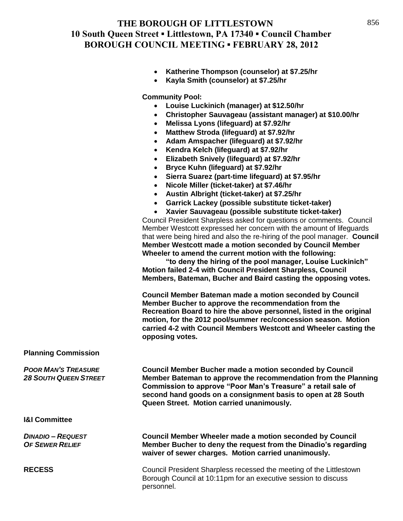- **Katherine Thompson (counselor) at \$7.25/hr**
- **Kayla Smith (counselor) at \$7.25/hr**

**Community Pool:**

- **Louise Luckinich (manager) at \$12.50/hr**
- **Christopher Sauvageau (assistant manager) at \$10.00/hr**
- **Melissa Lyons (lifeguard) at \$7.92/hr**
- **Matthew Stroda (lifeguard) at \$7.92/hr**
- **Adam Amspacher (lifeguard) at \$7.92/hr**
- **Kendra Kelch (lifeguard) at \$7.92/hr**
- **Elizabeth Snively (lifeguard) at \$7.92/hr**
- **Bryce Kuhn (lifeguard) at \$7.92/hr**
- **Sierra Suarez (part-time lifeguard) at \$7.95/hr**
- **Nicole Miller (ticket-taker) at \$7.46/hr**
- **Austin Albright (ticket-taker) at \$7.25/hr**
- **Garrick Lackey (possible substitute ticket-taker)**
- **Xavier Sauvageau (possible substitute ticket-taker)**

Council President Sharpless asked for questions or comments. Council Member Westcott expressed her concern with the amount of lifeguards that were being hired and also the re-hiring of the pool manager. **Council Member Westcott made a motion seconded by Council Member Wheeler to amend the current motion with the following:**

**"to deny the hiring of the pool manager, Louise Luckinich" Motion failed 2-4 with Council President Sharpless, Council Members, Bateman, Bucher and Baird casting the opposing votes.**

**Council Member Bateman made a motion seconded by Council Member Bucher to approve the recommendation from the Recreation Board to hire the above personnel, listed in the original motion, for the 2012 pool/summer rec/concession season. Motion carried 4-2 with Council Members Westcott and Wheeler casting the opposing votes.**

#### **Planning Commission**

*POOR MAN'S TREASURE* **Council Member Bucher made a motion seconded by Council**  *28 SOUTH QUEEN STREET* **Member Bateman to approve the recommendation from the Planning Commission to approve "Poor Man's Treasure" a retail sale of second hand goods on a consignment basis to open at 28 South Queen Street. Motion carried unanimously.**

## **I&I Committee**

*DINADIO – REQUEST* **Council Member Wheeler made a motion seconded by Council** *OF SEWER RELIEF* **Member Bucher to deny the request from the Dinadio's regarding waiver of sewer charges. Motion carried unanimously.**

**RECESS** Council President Sharpless recessed the meeting of the Littlestown Borough Council at 10:11pm for an executive session to discuss personnel.